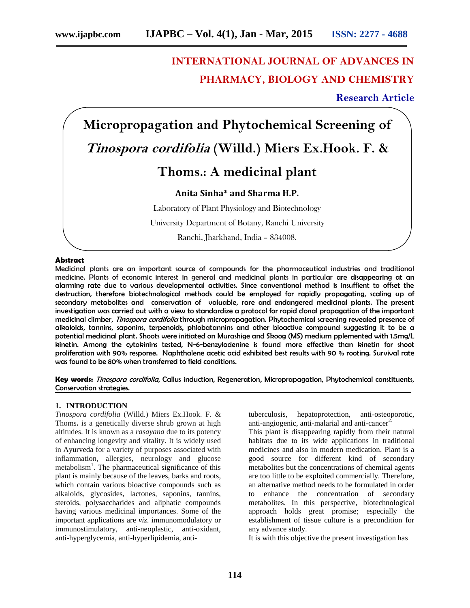# **INTERNATIONAL JOURNAL OF ADVANCES IN PHARMACY, BIOLOGY AND CHEMISTRY**

**Research Article**

**Micropropagation and Phytochemical Screening of** *Tinospora cordifolia* **(Willd.) Miers Ex.Hook. F. & Thoms.: A medicinal plant Anita Sinha\* and Sharma H.P.** Laboratory of Plant Physiology and Biotechnology University Department of Botany, Ranchi University Ranchi, Jharkhand, India – 834008.

#### **Abstract**

Medicinal plants are an important source of compounds for the pharmaceutical industries and traditional medicine. Plants of economic interest in general and medicinal plants in particular are disappearing at an alarming rate due to various developmental activities. Since conventional method is insuffient to offset the destruction, therefore biotechnological methods could be employed for rapidly propagating, scaling up of secondary metabolites and conservation of valuable, rare and endangered medicinal plants. The present investigation was carried out with a view to standardize a protocol for rapid clonal propagation of the important medicinal climber, *Tinospora cordifolia* through micropropagation. Phytochemical screening revealed presence of alkaloids, tannins, saponins, terpenoids, phlobatannins and other bioactive compound suggesting it to be a potential medicinal plant. Shoots were initiated on Murashige and Skoog (MS) medium pplemented with 1.5mg/L kinetin. Among the cytokinins tested, N-6-benzyladenine is found more effective than kinetin for shoot proliferation with 90% response. Naphthalene acetic acid exhibited best results with 90 % rooting. Survival rate was found to be 80% when transferred to field conditions.

**Key words:** *Tinospora cordifolia,* Callus induction, Regeneration*,* Microprapagation, Phytochemical constituents, Conservation strategies.

#### **1. INTRODUCTION**

*Tinospora cordifolia* (Willd.) Miers Ex.Hook. F. & Thoms**.** is a genetically diverse shrub grown at high altitudes. It is known as a *rasayana* due to its potency of enhancing longevity and vitality. It is widely used in Ayurveda for a variety of purposes associated with inflammation, allergies, neurology and glucose metabolism<sup>1</sup>. The pharmaceutical significance of this plant is mainly because of the leaves, barks and roots, which contain various bioactive compounds such as alkaloids, glycosides, lactones, saponins, tannins, steroids, polysaccharides and aliphatic compounds having various medicinal importances. Some of the important applications are *viz*. immunomodulatory or immunostimulatory, anti-neoplastic, anti-oxidant, anti-hyperglycemia, anti-hyperlipidemia, anti-

hepatoprotection, anti-osteoporotic, anti-angiogenic, anti-malarial and anti-cancer $2$ .

This plant is disappearing rapidly from their natural habitats due to its wide applications in traditional medicines and also in modern medication. Plant is a good source for different kind of secondary metabolites but the concentrations of chemical agents are too little to be exploited commercially. Therefore, an alternative method needs to be formulated in order to enhance the concentration of secondary metabolites. In this perspective, biotechnological approach holds great promise; especially the establishment of tissue culture is a precondition for any advance study.

It is with this objective the present investigation has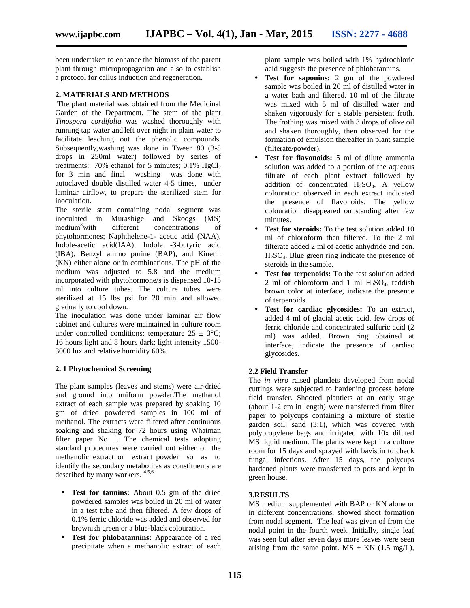been undertaken to enhance the biomass of the parent plant through micropropagation and also to establish a protocol for callus induction and regeneration.

#### **2. MATERIALS AND METHODS**

The plant material was obtained from the Medicinal Garden of the Department. The stem of the plant *Tinospora cordifolia* was washed thoroughly with running tap water and left over night in plain water to facilitate leaching out the phenolic compounds. Subsequently,washing was done in Tween 80 (3-5 drops in 250ml water) followed by series of treatments:  $70\%$  ethanol for 5 minutes;  $0.1\%$  HgCl<sub>2</sub> for 3 min and final washing was done with autoclaved double distilled water 4-5 times, under laminar airflow, to prepare the sterilized stem for inoculation.

The sterile stem containing nodal segment was inoculated in Murashige and Skoogs (MS) medium<sup>3</sup>with different concentrations of phytohormones; Naphthelene-1- acetic acid (NAA), Indole-acetic acid(IAA), Indole -3-butyric acid (IBA), Benzyl amino purine (BAP), and Kinetin (KN) either alone or in combinations. The pH of the medium was adjusted to 5.8 and the medium incorporated with phytohormone/s is dispensed 10-15 ml into culture tubes. The culture tubes were sterilized at 15 lbs psi for 20 min and allowed gradually to cool down.

The inoculation was done under laminar air flow cabinet and cultures were maintained in culture room under controlled conditions: temperature  $25 \pm 3^{\circ}\text{C}$ ; 16 hours light and 8 hours dark; light intensity 1500- 3000 lux and relative humidity 60%.

#### **2. 1 Phytochemical Screening**

The plant samples (leaves and stems) were air-dried and ground into uniform powder.The methanol extract of each sample was prepared by soaking 10 gm of dried powdered samples in 100 ml of methanol. The extracts were filtered after continuous soaking and shaking for 72 hours using Whatman filter paper No 1. The chemical tests adopting standard procedures were carried out either on the methanolic extract or extract powder so as to identify the secondary metabolites as constituents are described by many workers. 4,5,6.

- **Test for tannins:** About 0.5 gm of the dried powdered samples was boiled in 20 ml of water in a test tube and then filtered. A few drops of 0.1% ferric chloride was added and observed for brownish green or a blue-black colouration.
- **Test for phlobatannins:** Appearance of a red precipitate when a methanolic extract of each

plant sample was boiled with 1% hydrochloric acid suggests the presence of phlobatannins.

- **Test for saponins:** 2 gm of the powdered sample was boiled in 20 ml of distilled water in a water bath and filtered. 10 ml of the filtrate was mixed with 5 ml of distilled water and shaken vigorously for a stable persistent froth. The frothing was mixed with 3 drops of olive oil and shaken thoroughly, then observed for the formation of emulsion thereafter in plant sample (filterate/powder).
- **Test for flavonoids:** 5 ml of dilute ammonia solution was added to a portion of the aqueous filtrate of each plant extract followed by addition of concentrated  $H_2SO_4$ . A yellow colouration observed in each extract indicated the presence of flavonoids. The yellow colouration disappeared on standing after few minutes.
- **Test for steroids:** To the test solution added 10 ml of chloroform then filtered. To the 2 ml filterate added 2 ml of acetic anhydride and con.  $H<sub>2</sub>SO<sub>4</sub>$ . Blue green ring indicate the presence of steroids in the sample.
- **Test for terpenoids:** To the test solution added 2 ml of chloroform and 1 ml  $H_2SO_4$ , reddish brown color at interface, indicate the presence of terpenoids.
- **Test for cardiac glycosides:** To an extract, added 4 ml of glacial acetic acid, few drops of ferric chloride and concentrated sulfuric acid (2 ml) was added. Brown ring obtained at interface, indicate the presence of cardiac glycosides.

# **2.2 Field Transfer**

The *in vitro* raised plantlets developed from nodal cuttings were subjected to hardening process before field transfer. Shooted plantlets at an early stage (about 1-2 cm in length) were transferred from filter paper to polycups containing a mixture of sterile garden soil: sand (3:1), which was covered with polypropylene bags and irrigated with 10x diluted MS liquid medium. The plants were kept in a culture room for 15 days and sprayed with bavistin to check fungal infections. After 15 days, the polycups hardened plants were transferred to pots and kept in green house.

# **3.RESULTS**

MS medium supplemented with BAP or KN alone or in different concentrations, showed shoot formation from nodal segment. The leaf was given of from the nodal point in the fourth week. Initially, single leaf was seen but after seven days more leaves were seen arising from the same point.  $MS + KN$  (1.5 mg/L),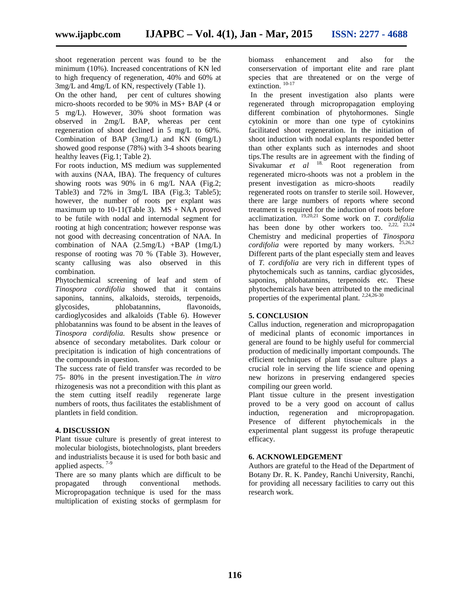shoot regeneration percent was found to be the minimum (10%). Increased concentrations of KN led to high frequency of regeneration, 40% and 60% at 3mg/L and 4mg/L of KN, respectively (Table 1).

On the other hand, per cent of cultures showing micro-shoots recorded to be 90% in MS+ BAP (4 or 5 mg/L). However, 30% shoot formation was observed in 2mg/L BAP, whereas per cent regeneration of shoot declined in 5 mg/L to 60%. Combination of BAP (3mg/L) and KN (6mg/L) showed good response (78%) with 3-4 shoots bearing healthy leaves (Fig.1; Table 2).

For roots induction, MS medium was supplemented with auxins (NAA, IBA). The frequency of cultures showing roots was 90% in 6 mg/L NAA (Fig.2; Table3) and  $72\%$  in  $3mg/L$  IBA (Fig.3; Table5); however, the number of roots per explant was maximum up to  $10-11$ (Table 3). MS + NAA proved to be futile with nodal and internodal segment for rooting at high concentration; however response was not good with decreasing concentration of NAA. In combination of NAA  $(2.5mg/L)$  +BAP  $(1mg/L)$ response of rooting was 70 % (Table 3). However, scanty callusing was also observed in this combination.

Phytochemical screening of leaf and stem of *Tinospora cordifolia* showed that it contains saponins, tannins, alkaloids, steroids, terpenoids, glycosides, phlobatannins, flavonoids, cardioglycosides and alkaloids (Table 6). However phlobatannins was found to be absent in the leaves of *Tinospora cordifolia.* Results show presence or absence of secondary metabolites. Dark colour or precipitation is indication of high concentrations of the compounds in question.

The success rate of field transfer was recorded to be 75- 80% in the present investigation.The *in vitro* rhizogenesis was not a precondition with this plant as the stem cutting itself readily regenerate large numbers of roots, thus facilitates the establishment of plantlets in field condition.

# **4. DISCUSSION**

Plant tissue culture is presently of great interest to molecular biologists, biotechnologists, plant breeders and industrialists because it is used for both basic and applied aspects. 7-9

There are so many plants which are difficult to be propagated through conventional methods. Micropropagation technique is used for the mass multiplication of existing stocks of germplasm for

biomass enhancement and also for the conserservation of important elite and rare plant species that are threatened or on the verge of extinction.<sup>10-17</sup>

In the present investigation also plants were regenerated through micropropagation employing different combination of phytohormones. Single cytokinin or more than one type of cytokinins facilitated shoot regeneration. In the initiation of shoot induction with nodal explants responded better than other explants such as internodes and shoot tips.The results are in agreement with the finding of Sivakumar *et al* <sup>18.</sup> Root regeneration from regenerated micro-shoots was not a problem in the present investigation as micro-shoots readily regenerated roots on transfer to sterile soil. However, there are large numbers of reports where second treatment is required for the induction of roots before acclimatization. 19,20,21 Some work on *T. cordifolia* has been done by other workers too.  $2,22,23,24$ Chemistry and medicinal properties of *Tinospora cordifolia* were reported by many workers.  $25,26,2$ Different parts of the plant especially stem and leaves of *T. cordifolia* are very rich in different types of phytochemicals such as tannins, cardiac glycosides, saponins, phlobatannins, terpenoids etc. These phytochemicals have been attributed to the medicinal properties of the experimental plant. <sup>2,24,26-30</sup>

# **5. CONCLUSION**

Callus induction, regeneration and micropropagation of medicinal plants of economic importances in general are found to be highly useful for commercial production of medicinally important compounds. The efficient techniques of plant tissue culture plays a crucial role in serving the life science and opening new horizons in preserving endangered species compiling our green world.

Plant tissue culture in the present investigation proved to be a very good on account of callus induction, regeneration and micropropagation. Presence of different phytochemicals in the experimental plant suggesst its profuge therapeutic efficacy.

# **6. ACKNOWLEDGEMENT**

Authors are grateful to the Head of the Department of Botany Dr. R. K. Pandey, Ranchi University, Ranchi, for providing all necessary facilities to carry out this research work.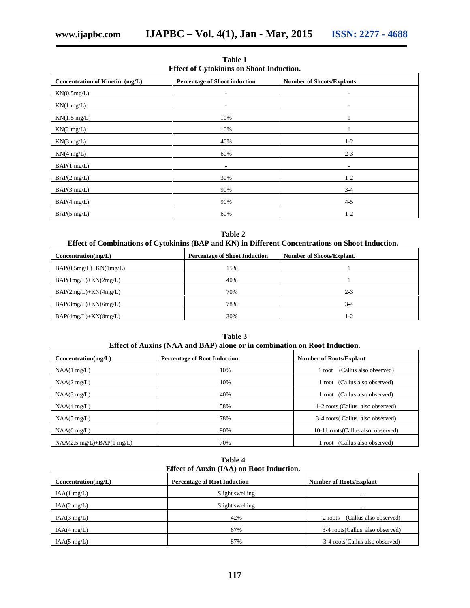**Table 1 Effect of Cytokinins on Shoot Induction.**

|                                                                                                              | Little of Cytominino on oncet maachon. |                              |  |  |  |  |  |  |
|--------------------------------------------------------------------------------------------------------------|----------------------------------------|------------------------------|--|--|--|--|--|--|
| Concentration of Kinetin (mg/L)<br><b>Percentage of Shoot induction</b><br><b>Number of Shoots/Explants.</b> |                                        |                              |  |  |  |  |  |  |
| KN(0.5mg/L)                                                                                                  | $\overline{\phantom{a}}$               | ٠                            |  |  |  |  |  |  |
| KN(1 mg/L)                                                                                                   | $\overline{\phantom{a}}$               | $\qquad \qquad \blacksquare$ |  |  |  |  |  |  |
| $KN(1.5 \text{ mg/L})$                                                                                       | 10%                                    |                              |  |  |  |  |  |  |
| KN(2 mg/L)                                                                                                   | 10%                                    |                              |  |  |  |  |  |  |
| KN(3 mg/L)                                                                                                   | 40%                                    | $1 - 2$                      |  |  |  |  |  |  |
| KN(4 mg/L)                                                                                                   | 60%                                    | $2 - 3$                      |  |  |  |  |  |  |
|                                                                                                              |                                        |                              |  |  |  |  |  |  |
| BAP(1 mg/L)                                                                                                  | ٠                                      | $\qquad \qquad \blacksquare$ |  |  |  |  |  |  |
| BAP(2 mg/L)                                                                                                  | 30%                                    | $1 - 2$                      |  |  |  |  |  |  |
| BAP(3 mg/L)                                                                                                  | 90%                                    | $3 - 4$                      |  |  |  |  |  |  |
| BAP(4 mg/L)                                                                                                  | 90%                                    | $4 - 5$                      |  |  |  |  |  |  |
| BAP(5 mg/L)                                                                                                  | 60%                                    | $1 - 2$                      |  |  |  |  |  |  |

**Table 2**

| Concentration(mg/L)      | <b>Percentage of Shoot Induction</b> | <b>Number of Shoots/Explant.</b> |  |  |
|--------------------------|--------------------------------------|----------------------------------|--|--|
| $BAP(0.5mg/L)+KN(1mg/L)$ | 15%                                  |                                  |  |  |
| $BAP(1mg/L)+KN(2mg/L)$   | 40%                                  |                                  |  |  |
| $BAP(2mg/L)+KN(4mg/L)$   | 70%                                  | $2 - 3$                          |  |  |
| $BAP(3mg/L)+KN(6mg/L)$   | 78%                                  | $3-4$                            |  |  |
| $BAP(4mg/L)+KN(8mg/L)$   | 30%                                  | $1 - 2$                          |  |  |

**Table 3**

|  |  | Effect of Auxins (NAA and BAP) alone or in combination on Root Induction. |  |
|--|--|---------------------------------------------------------------------------|--|
|--|--|---------------------------------------------------------------------------|--|

| Concentration(mg/L)         | <b>Percentage of Root Induction</b> | <b>Number of Roots/Explant</b>     |
|-----------------------------|-------------------------------------|------------------------------------|
| NAA(1 mg/L)                 | 10%                                 | (Callus also observed)<br>root     |
| NAA(2 mg/L)                 | 10%                                 | 1 root (Callus also observed)      |
| NAA(3 mg/L)                 | 40%                                 | 1 root (Callus also observed)      |
| NAA(4 mg/L)                 | 58%                                 | 1-2 roots (Callus also observed)   |
| NAA(5 mg/L)                 | 78%                                 | 3-4 roots (Callus also observed)   |
| $NAA(6 \text{ mg/L})$       | 90%                                 | 10-11 roots (Callus also observed) |
| $NAA(2.5 mg/L)+BAP(1 mg/L)$ | 70%                                 | root (Callus also observed)        |

**Table 4 Effect of Auxin (IAA) on Root Induction.**

| Concentration(mg/L) | <b>Percentage of Root Induction</b> | <b>Number of Roots/Explant</b>    |
|---------------------|-------------------------------------|-----------------------------------|
| IAA(1 mg/L)         | Slight swelling                     |                                   |
| IAA(2 mg/L)         | Slight swelling                     |                                   |
| IAA(3 mg/L)         | 42%                                 | (Callus also observed)<br>2 roots |
| IAA(4 mg/L)         | 67%                                 | 3-4 roots(Callus also observed)   |
| IAA(5 mg/L)         | 87%                                 | 3-4 roots (Callus also observed)  |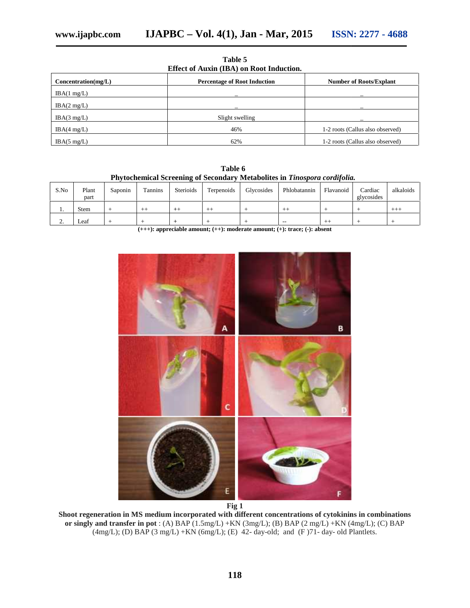| Table 5                                  |  |  |  |  |  |
|------------------------------------------|--|--|--|--|--|
| Effect of Auxin (IBA) on Root Induction. |  |  |  |  |  |

| Concentration(mg/L)    | <b>Percentage of Root Induction</b> | <b>Number of Roots/Explant</b>   |  |  |
|------------------------|-------------------------------------|----------------------------------|--|--|
| IBA(1 mg/L)            |                                     |                                  |  |  |
| IBA(2 mg/L)            |                                     |                                  |  |  |
| IBA $(3 \text{ mg/L})$ | Slight swelling                     |                                  |  |  |
| IBA $(4 \text{ mg/L})$ | 46%                                 | 1-2 roots (Callus also observed) |  |  |
| IBA(5 mg/L)            | 62%                                 | 1-2 roots (Callus also observed) |  |  |

**Table 6 Phytochemical Screening of Secondary Metabolites in** *Tinospora cordifolia.* **Secondary Metabolites** 

| S.No     | Plant<br>part | Saponin | Tannins | <b>Sterioids</b> | Terpenoids | Glycosides | Phlobatannin | Flavanoid | Cardiac<br>glycosides | alkaloids |
|----------|---------------|---------|---------|------------------|------------|------------|--------------|-----------|-----------------------|-----------|
| . .      | <b>Stem</b>   |         | $^{++}$ | $+ +$            | $+ +$      |            | $++$         |           |                       | $+++$     |
| <u>.</u> | Leaf          |         |         |                  |            |            | $\sim$       | $^{++}$   |                       |           |

(+++): appreciable amount; (++): moderate amount; (+): trace; (-): absent



**Fig 1**

**Shoot regeneration in MS medium incorporated with different concentrations of cytokinins in combinations** noot regeneration in MS medium incorporated with different concentrations of cytokinins in combinations<br>or singly and transfer in pot : (A) BAP (1.5mg/L) +KN (3mg/L); (B) BAP (2 mg/L) +KN (4mg/L); (C) BAP (4mg/L); (D) BAP (3 mg/L) +KN (6mg/L); (E) 42- day-old; and (F)71- day- old Plantlets.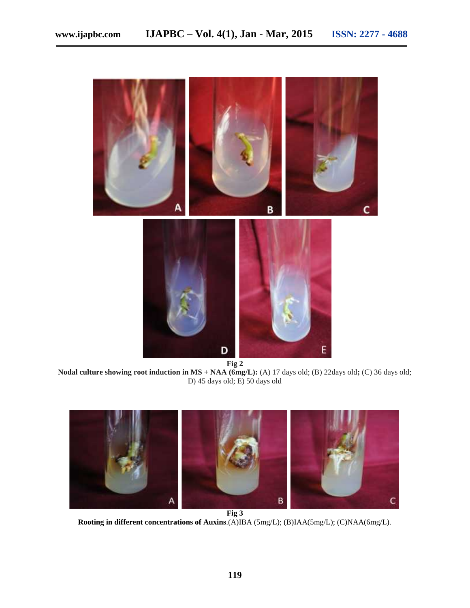

**Fig 2**

**Nodal culture showing root induction in MS + NAA (6mg/L):** (A) 17 days old; (B) 22days old**;** (C) 36 days old; **in MS** + **NAA (6mg/L):** (A) 17 days old; (B) 22days old; (C) 36 D) 45 days old; E) 50 days old



**Rooting in different concentrations of Auxins**.(A)IBA (5mg/L); (B)IAA(5mg/L); (C)NAA(6mg/L).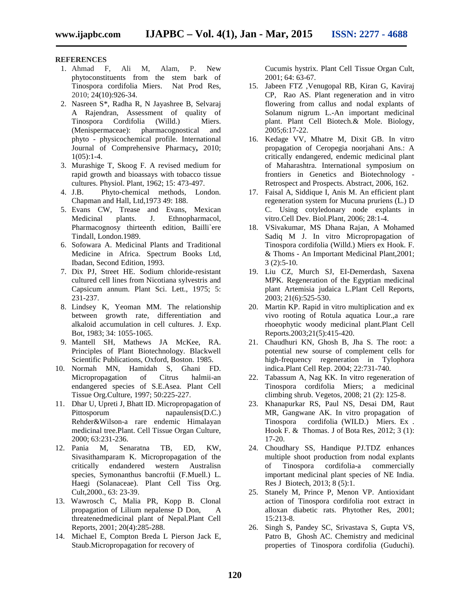# **REFERENCES**

- 1. Ahmad F, Ali M, Alam, P. New phytoconstituents from the stem bark of Tinospora cordifolia Miers. Nat Prod Res, 2010; 24(10):926-34.
- 2. Nasreen S\*, Radha R, N Jayashree B, Selvaraj A Rajendran, Assessment of quality of Tinospora Cordifolia (Willd.) Miers. (Menispermaceae): pharmacognostical and phyto - physicochemical profile. International Journal of Comprehensive Pharmacy**,** 2010;  $1(05):1-4.$
- 3. Murashige T, Skoog F. A revised medium for rapid growth and bioassays with tobacco tissue cultures. Physiol. Plant, 1962; 15: 473-497.
- 4. J.B. Phyto-chemical methods, London. Chapman and Hall, Ltd,1973 49: 188.
- 5. Evans CW, Trease and Evans, Mexican Medicinal plants. J. Ethnopharmacol, Pharmacognosy thirteenth edition, Bailli`ere Tindall, London.1989.
- 6. Sofowara A. Medicinal Plants and Traditional Medicine in Africa. Spectrum Books Ltd, Ibadan, Second Edition, 1993.
- 7. Dix PJ, Street HE. Sodium chloride-resistant cultured cell lines from Nicotiana sylvestris and Capsicum annum. Plant Sci. Lett., 1975; 5: 231-237.
- 8. Lindsey K, Yeoman MM. The relationship between growth rate, differentiation and alkaloid accumulation in cell cultures. J. Exp. Bot, 1983; 34: 1055-1065.
- 9. Mantell SH, Mathews JA McKee, RA. Principles of Plant Biotechnology. Blackwell Scientific Publications, Oxford, Boston. 1985.
- 10. Normah MN, Hamidah S, Ghani FD. Micropropagation of Citrus halmii-an endangered species of S.E.Asea. Plant Cell Tissue Org.Culture, 1997; 50:225-227.
- 11. Dhar U, Upreti J, Bhatt ID. Micropropagation of Pittosporum napaulensis(D.C.) Rehder&Wilson-a rare endemic Himalayan medicinal tree.Plant. Cell Tissue Organ Culture, 2000; 63:231-236.
- 12. Pania M, Senaratna TB, ED, KW, Sivasithamparam K. Micropropagation of the critically endandered western Australisn species, Symonanthus bancroftii (F.Muell.) L. Haegi (Solanaceae). Plant Cell Tiss Org. Cult,2000., 63: 23-39.
- 13. Wawrosch C, Malia PR, Kopp B. Clonal propagation of Lilium nepalense D Don, A threatenedmedicinal plant of Nepal.Plant Cell Reports, 2001; 20(4):285-288.
- 14. Michael E, Compton Breda L Pierson Jack E, Staub.Micropropagation for recovery of

Cucumis hystrix. Plant Cell Tissue Organ Cult, 2001; 64: 63-67.

- 15. Jabeen FTZ ,Venugopal RB, Kiran G, Kaviraj CP, Rao AS. Plant regeneration and in vitro flowering from callus and nodal explants of Solanum nigrum L.-An important medicinal plant. Plant Cell Biotech.& Mole. Biology, 2005;6:17-22.
- 16. Kedage VV, Mhatre M, Dixit GB. In vitro propagation of Ceropegia noorjahani Ans.: A critically endangered, endemic medicinal plant of Maharashtra. International symposium on frontiers in Genetics and Biotechnology - Retrospect and Prospects. Abstract, 2006, 162.
- 17. Faisal A, Siddique I, Anis M. An efficient plant regeneration system for Mucuna pruriens (L.) D C. Using cotyledonary node explants in vitro.Cell Dev. Biol.Plant, 2006; 28:1-4.
- 18. VSivakumar, MS Dhana Rajan, A Mohamed Sadiq M J. In vitro Micropropagation of Tinospora cordifolia (Willd.) Miers ex Hook. F. & Thoms - An Important Medicinal Plant,2001; 3 (2):5-10.
- 19. Liu CZ, Murch SJ, EI-Demerdash, Saxena MPK. Regeneration of the Egyptian medicinal plant Artemisia judaica L.Plant Cell Reports, 2003; 21(6):525-530.
- 20. Martin KP. Rapid in vitro multiplication and ex vivo rooting of Rotula aquatica Lour.,a rare rhoeophytic woody medicinal plant.Plant Cell Reports.2003;21(5):415-420.
- 21. Chaudhuri KN, Ghosh B, Jha S. The root: a potential new sourse of complement cells for high-frequency regeneration in Tylophora indica.Plant Cell Rep. 2004; 22:731-740.
- 22. Tabassum A, Nag KK. In vitro regeneration of Tinospora cordifolia Miers; a medicinal climbing shrub. Vegetos, 2008; 21 (2): 125-8.
- 23. Khanapurkar RS, Paul NS, Desai DM, Raut MR, Gangwane AK. In vitro propagation of Tinospora cordifolia (WILD.) Miers. Ex . Hook F. & Thomas. J of Bota Res, 2012; 3 (1): 17-20.
- 24. Choudhary SS, Handique PJ.TDZ enhances multiple shoot production from nodal explants of Tinospora cordifolia-a commercially important medicinal plant species of NE India. Res J Biotech, 2013; 8 (5):1.
- 25. Stanely M, Prince P, Menon VP. Antioxidant action of Tinospora cordifolia root extract in alloxan diabetic rats. Phytother Res, 2001; 15:213-8.
- 26. Singh S, Pandey SC, Srivastava S, Gupta VS, Patro B, Ghosh AC. Chemistry and medicinal properties of Tinospora cordifolia (Guduchi).